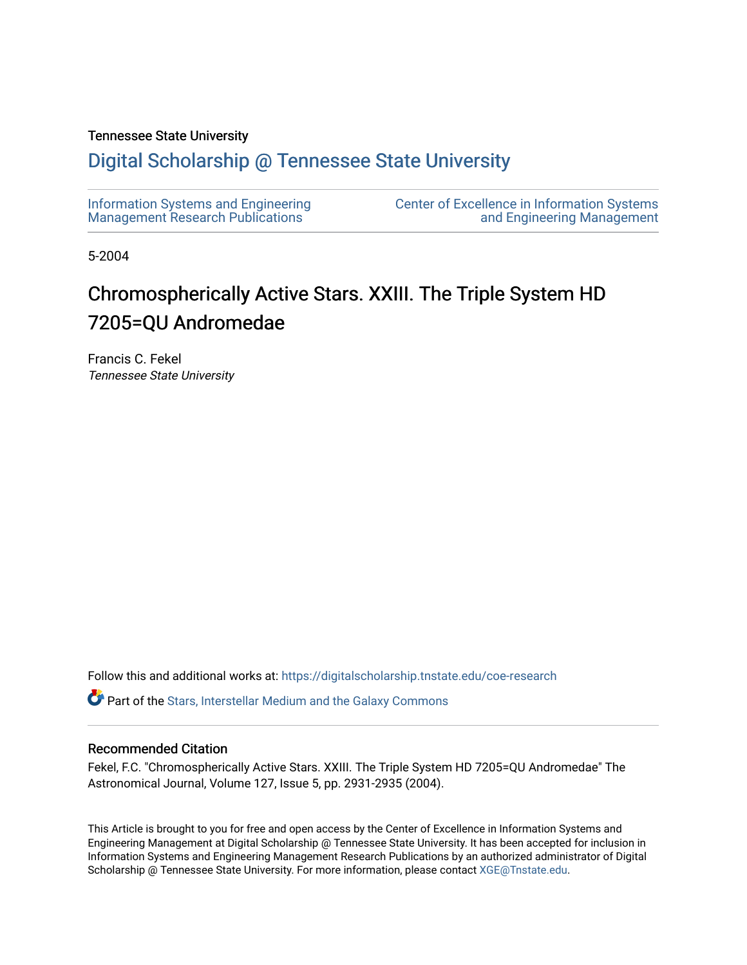# Tennessee State University

# [Digital Scholarship @ Tennessee State University](https://digitalscholarship.tnstate.edu/)

| Information Systems and Engineering     | <b>Center of Excellence in Information Systems</b> |
|-----------------------------------------|----------------------------------------------------|
| <b>Management Research Publications</b> | and Engineering Management                         |

5-2004

# Chromospherically Active Stars. XXIII. The Triple System HD 7205=QU Andromedae

Francis C. Fekel Tennessee State University

Follow this and additional works at: [https://digitalscholarship.tnstate.edu/coe-research](https://digitalscholarship.tnstate.edu/coe-research?utm_source=digitalscholarship.tnstate.edu%2Fcoe-research%2F348&utm_medium=PDF&utm_campaign=PDFCoverPages) 

**P** Part of the Stars, Interstellar Medium and the Galaxy Commons

# Recommended Citation

Fekel, F.C. "Chromospherically Active Stars. XXIII. The Triple System HD 7205=QU Andromedae" The Astronomical Journal, Volume 127, Issue 5, pp. 2931-2935 (2004).

This Article is brought to you for free and open access by the Center of Excellence in Information Systems and Engineering Management at Digital Scholarship @ Tennessee State University. It has been accepted for inclusion in Information Systems and Engineering Management Research Publications by an authorized administrator of Digital Scholarship @ Tennessee State University. For more information, please contact [XGE@Tnstate.edu](mailto:XGE@Tnstate.edu).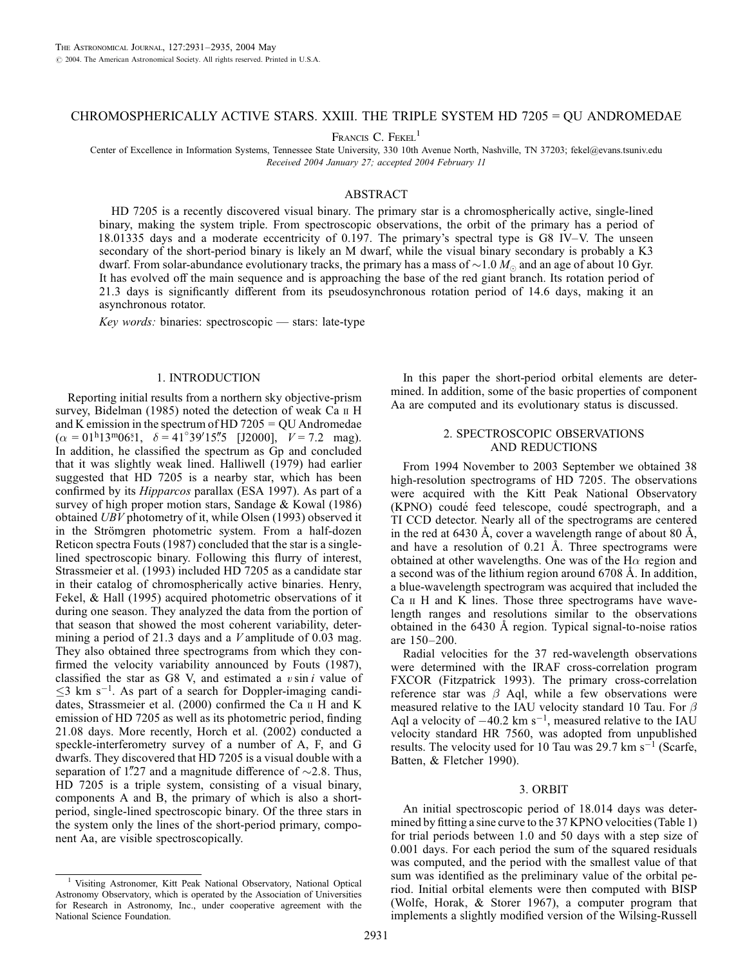# CHROMOSPHERICALLY ACTIVE STARS. XXIII. THE TRIPLE SYSTEM HD 7205 = QU ANDROMEDAE

FRANCIS C. FEKEL<sup>1</sup>

Center of Excellence in Information Systems, Tennessee State University, 330 10th Avenue North, Nashville, TN 37203; fekel@evans.tsuniv.edu Received 2004 January 27; accepted 2004 February 11

### ABSTRACT

HD 7205 is a recently discovered visual binary. The primary star is a chromospherically active, single-lined binary, making the system triple. From spectroscopic observations, the orbit of the primary has a period of 18:01335 days and a moderate eccentricity of 0.197. The primary's spectral type is G8 IV–V. The unseen secondary of the short-period binary is likely an M dwarf, while the visual binary secondary is probably a K3 dwarf. From solar-abundance evolutionary tracks, the primary has a mass of  ${\sim}1.0$   $M_\odot$  and an age of about 10 Gyr. It has evolved off the main sequence and is approaching the base of the red giant branch. Its rotation period of 21.3 days is significantly different from its pseudosynchronous rotation period of 14.6 days, making it an asynchronous rotator.

Key words: binaries: spectroscopic — stars: late-type

#### 1. INTRODUCTION

Reporting initial results from a northern sky objective-prism survey, Bidelman  $(1985)$  noted the detection of weak Ca  $\scriptstyle\rm II$  H and K emission in the spectrum of HD 7205 = QU Andromedae  $(\alpha = 01^{\text{h}}13^{\text{m}}06^{\text{s}}1, \ \delta = 41^{\circ}39'15\rlap{.}''5 \ \text{[J2000]}, \ \ V = 7.2 \ \text{mag}).$ In addition, he classified the spectrum as Gp and concluded that it was slightly weak lined. Halliwell (1979) had earlier suggested that HD 7205 is a nearby star, which has been confirmed by its Hipparcos parallax (ESA 1997). As part of a survey of high proper motion stars, Sandage & Kowal (1986) obtained UBV photometry of it, while Olsen (1993) observed it in the Strömgren photometric system. From a half-dozen Reticon spectra Fouts (1987) concluded that the star is a singlelined spectroscopic binary. Following this flurry of interest, Strassmeier et al. (1993) included HD 7205 as a candidate star in their catalog of chromospherically active binaries. Henry, Fekel, & Hall (1995) acquired photometric observations of it during one season. They analyzed the data from the portion of that season that showed the most coherent variability, determining a period of 21.3 days and a  $V$  amplitude of 0.03 mag. They also obtained three spectrograms from which they confirmed the velocity variability announced by Fouts (1987), classified the star as G8 V, and estimated a  $v \sin i$  value of  $\leq$ 3 km s<sup>-1</sup>. As part of a search for Doppler-imaging candidates, Strassmeier et al. (2000) confirmed the Ca ii H and K emission of HD 7205 as well as its photometric period, finding 21.08 days. More recently, Horch et al. (2002) conducted a speckle-interferometry survey of a number of A, F, and G dwarfs. They discovered that HD 7205 is a visual double with a separation of 1.''27 and a magnitude difference of  $\sim$ 2.8. Thus, HD 7205 is a triple system, consisting of a visual binary, components A and B, the primary of which is also a shortperiod, single-lined spectroscopic binary. Of the three stars in the system only the lines of the short-period primary, component Aa, are visible spectroscopically.

In this paper the short-period orbital elements are determined. In addition, some of the basic properties of component Aa are computed and its evolutionary status is discussed.

# 2. SPECTROSCOPIC OBSERVATIONS AND REDUCTIONS

From 1994 November to 2003 September we obtained 38 high-resolution spectrograms of HD 7205. The observations were acquired with the Kitt Peak National Observatory (KPNO) coudé feed telescope, coudé spectrograph, and a TI CCD detector. Nearly all of the spectrograms are centered in the red at 6430 Å, cover a wavelength range of about 80 Å, and have a resolution of  $0.21$  Å. Three spectrograms were obtained at other wavelengths. One was of the H $\alpha$  region and a second was of the lithium region around 6708 Å. In addition, a blue-wavelength spectrogram was acquired that included the Ca ii H and K lines. Those three spectrograms have wavelength ranges and resolutions similar to the observations obtained in the  $6430$  Å region. Typical signal-to-noise ratios are 150–200.

Radial velocities for the 37 red-wavelength observations were determined with the IRAF cross-correlation program FXCOR (Fitzpatrick 1993). The primary cross-correlation reference star was  $\beta$  Aql, while a few observations were measured relative to the IAU velocity standard 10 Tau. For  $\beta$ Aql a velocity of  $-40.2$  km s<sup>-1</sup>, measured relative to the IAU velocity standard HR 7560, was adopted from unpublished results. The velocity used for 10 Tau was 29.7 km  $s^{-1}$  (Scarfe, Batten, & Fletcher 1990).

#### 3. ORBIT

An initial spectroscopic period of 18.014 days was determined by fitting a sine curve to the 37 KPNO velocities (Table 1) for trial periods between 1.0 and 50 days with a step size of 0.001 days. For each period the sum of the squared residuals was computed, and the period with the smallest value of that sum was identified as the preliminary value of the orbital period. Initial orbital elements were then computed with BISP (Wolfe, Horak, & Storer 1967), a computer program that implements a slightly modified version of the Wilsing-Russell

<sup>&</sup>lt;sup>1</sup> Visiting Astronomer, Kitt Peak National Observatory, National Optical Astronomy Observatory, which is operated by the Association of Universities for Research in Astronomy, Inc., under cooperative agreement with the National Science Foundation.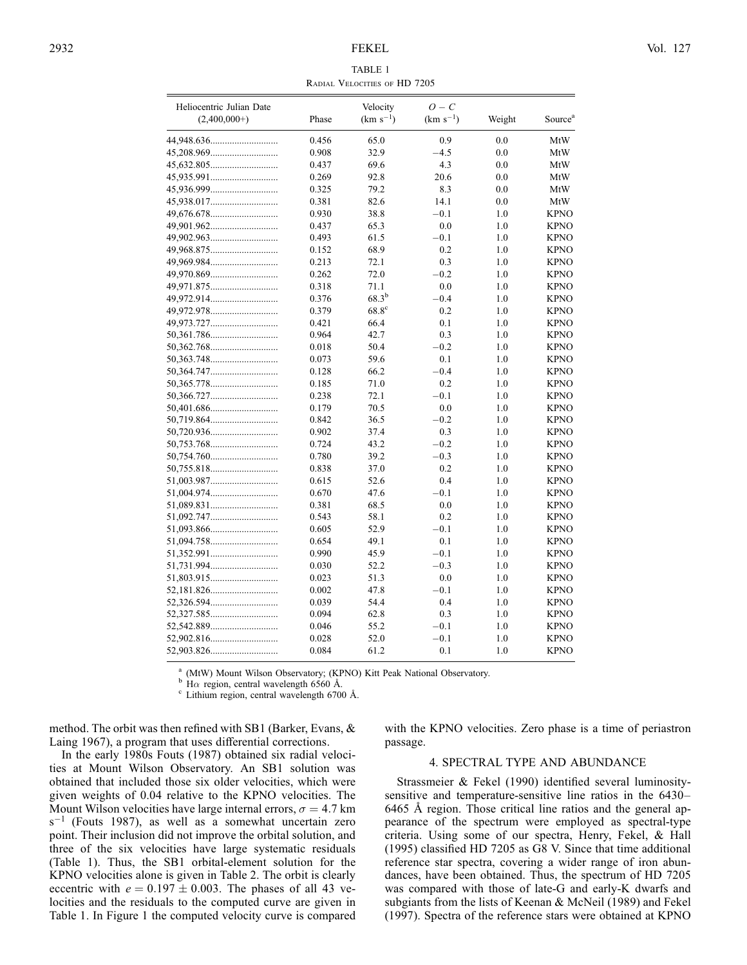#### TABLE 1 Radial Velocities of HD 7205

| Heliocentric Julian Date<br>$(2,400,000+)$ | Phase | Velocity<br>$(km s^{-1})$ | $O - C$<br>$(km s^{-1})$ | Weight | Source <sup>a</sup> |
|--------------------------------------------|-------|---------------------------|--------------------------|--------|---------------------|
|                                            | 0.456 | 65.0                      | 0.9                      | 0.0    | MtW                 |
|                                            | 0.908 | 32.9                      | $-4.5$                   | 0.0    | MtW                 |
|                                            | 0.437 | 69.6                      | 4.3                      | 0.0    | MtW                 |
|                                            | 0.269 | 92.8                      | 20.6                     | 0.0    | MtW                 |
|                                            | 0.325 | 79.2                      | 8.3                      | 0.0    | MtW                 |
|                                            | 0.381 | 82.6                      | 14.1                     | 0.0    | MtW                 |
|                                            | 0.930 | 38.8                      | $-0.1$                   | 1.0    | <b>KPNO</b>         |
|                                            | 0.437 | 65.3                      | 0.0                      | 1.0    | <b>KPNO</b>         |
|                                            | 0.493 | 61.5                      | $-0.1$                   | 1.0    | <b>KPNO</b>         |
|                                            | 0.152 | 68.9                      | 0.2                      | 1.0    | <b>KPNO</b>         |
|                                            | 0.213 | 72.1                      | 0.3                      | 1.0    | <b>KPNO</b>         |
|                                            | 0.262 | 72.0                      | $-0.2$                   | 1.0    | <b>KPNO</b>         |
|                                            | 0.318 | 71.1                      | 0.0                      | 1.0    | <b>KPNO</b>         |
|                                            | 0.376 | $68.3^{b}$                | $-0.4$                   | 1.0    | <b>KPNO</b>         |
|                                            | 0.379 | 68.8 <sup>c</sup>         | 0.2                      | 1.0    | <b>KPNO</b>         |
|                                            | 0.421 | 66.4                      | 0.1                      | 1.0    | <b>KPNO</b>         |
|                                            | 0.964 | 42.7                      | 0.3                      | 1.0    | <b>KPNO</b>         |
|                                            | 0.018 | 50.4                      | $-0.2$                   | 1.0    | <b>KPNO</b>         |
|                                            | 0.073 | 59.6                      | 0.1                      | 1.0    | <b>KPNO</b>         |
|                                            | 0.128 | 66.2                      | $-0.4$                   | 1.0    | <b>KPNO</b>         |
|                                            | 0.185 | 71.0                      | 0.2                      | 1.0    | <b>KPNO</b>         |
|                                            | 0.238 | 72.1                      | $-0.1$                   | 1.0    | <b>KPNO</b>         |
|                                            | 0.179 | 70.5                      | 0.0                      | 1.0    | <b>KPNO</b>         |
| 50,719.864                                 | 0.842 | 36.5                      | $-0.2$                   | 1.0    | <b>KPNO</b>         |
| 50,720.936                                 | 0.902 | 37.4                      | 0.3                      | 1.0    | <b>KPNO</b>         |
|                                            | 0.724 | 43.2                      | $-0.2$                   | 1.0    | <b>KPNO</b>         |
|                                            | 0.780 | 39.2                      | $-0.3$                   | 1.0    | <b>KPNO</b>         |
|                                            | 0.838 | 37.0                      | 0.2                      | 1.0    | <b>KPNO</b>         |
| 51,003.987                                 | 0.615 | 52.6                      | 0.4                      | 1.0    | <b>KPNO</b>         |
|                                            | 0.670 | 47.6                      | $-0.1$                   | 1.0    | <b>KPNO</b>         |
|                                            | 0.381 | 68.5                      | 0.0                      | 1.0    | <b>KPNO</b>         |
|                                            | 0.543 | 58.1                      | 0.2                      | 1.0    | <b>KPNO</b>         |
|                                            | 0.605 | 52.9                      | $-0.1$                   | 1.0    | <b>KPNO</b>         |
|                                            | 0.654 | 49.1                      | 0.1                      | 1.0    | <b>KPNO</b>         |
|                                            | 0.990 | 45.9                      | $-0.1$                   | 1.0    | <b>KPNO</b>         |
|                                            | 0.030 | 52.2                      | $-0.3$                   | 1.0    | <b>KPNO</b>         |
|                                            | 0.023 | 51.3                      | 0.0                      | 1.0    | <b>KPNO</b>         |
|                                            | 0.002 | 47.8                      | $-0.1$                   | 1.0    | <b>KPNO</b>         |
| 52,326.594                                 | 0.039 | 54.4                      | 0.4                      | 1.0    | <b>KPNO</b>         |
| 52,327.585                                 | 0.094 | 62.8                      | 0.3                      | 1.0    | <b>KPNO</b>         |
| 52,542.889                                 | 0.046 | 55.2                      | $-0.1$                   | 1.0    | <b>KPNO</b>         |
|                                            | 0.028 | 52.0                      | $-0.1$                   | 1.0    | <b>KPNO</b>         |
|                                            | 0.084 | 61.2                      | 0.1                      | 1.0    | <b>KPNO</b>         |

<sup>a</sup> (MtW) Mount Wilson Observatory; (KPNO) Kitt Peak National Observatory.<br><sup>b</sup> H $\alpha$  region, central wavelength 6560 Å.<br><sup>c</sup> Lithium region, central wavelength 6700 Å.

method. The orbit was then refined with SB1 (Barker, Evans, & Laing 1967), a program that uses differential corrections.

In the early 1980s Fouts (1987) obtained six radial velocities at Mount Wilson Observatory. An SB1 solution was obtained that included those six older velocities, which were given weights of 0.04 relative to the KPNO velocities. The Mount Wilson velocities have large internal errors,  $\sigma = 4.7$  km  $s^{-1}$  (Fouts 1987), as well as a somewhat uncertain zero point. Their inclusion did not improve the orbital solution, and three of the six velocities have large systematic residuals (Table 1). Thus, the SB1 orbital-element solution for the KPNO velocities alone is given in Table 2. The orbit is clearly eccentric with  $e = 0.197 \pm 0.003$ . The phases of all 43 velocities and the residuals to the computed curve are given in Table 1. In Figure 1 the computed velocity curve is compared

with the KPNO velocities. Zero phase is a time of periastron passage.

# 4. SPECTRAL TYPE AND ABUNDANCE

Strassmeier & Fekel (1990) identified several luminositysensitive and temperature-sensitive line ratios in the 6430– 6465 Å region. Those critical line ratios and the general appearance of the spectrum were employed as spectral-type criteria. Using some of our spectra, Henry, Fekel, & Hall (1995) classified HD 7205 as G8 V. Since that time additional reference star spectra, covering a wider range of iron abundances, have been obtained. Thus, the spectrum of HD 7205 was compared with those of late-G and early-K dwarfs and subgiants from the lists of Keenan & McNeil (1989) and Fekel (1997). Spectra of the reference stars were obtained at KPNO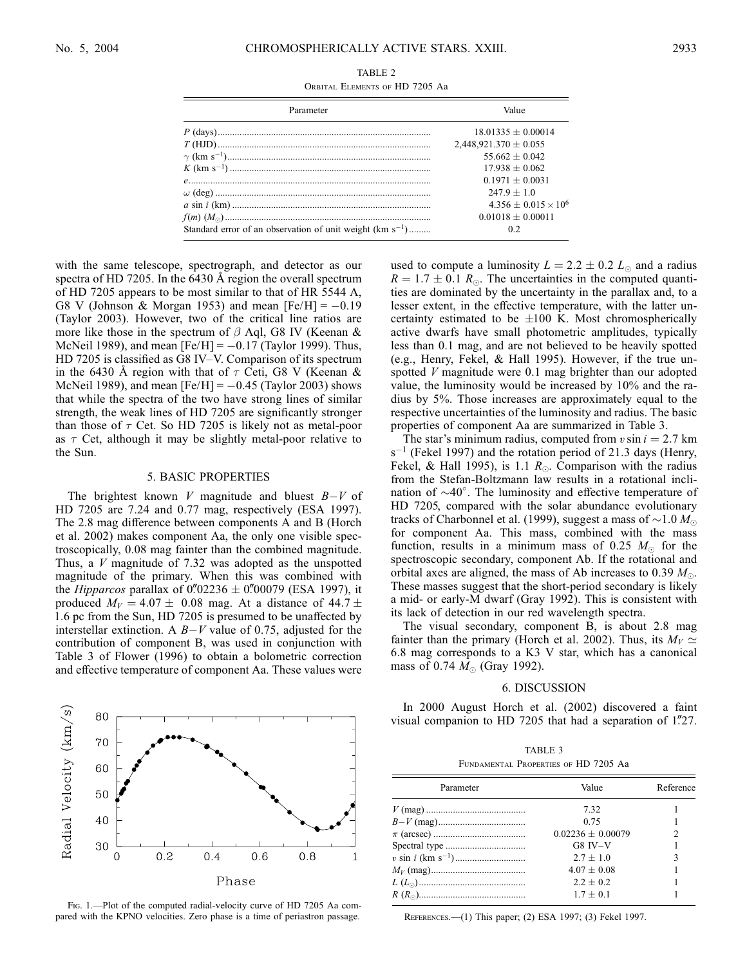| TABLE 2 |                                |  |  |  |  |
|---------|--------------------------------|--|--|--|--|
|         | ORBITAL ELEMENTS OF HD 7205 Aa |  |  |  |  |

| Parameter                                                     | Value                         |  |  |
|---------------------------------------------------------------|-------------------------------|--|--|
|                                                               | $18.01335 + 0.00014$          |  |  |
|                                                               | $2,448,921.370 \pm 0.055$     |  |  |
|                                                               | $55662 + 0042$                |  |  |
|                                                               | $17.938 + 0.062$              |  |  |
|                                                               | $0.1971 + 0.0031$             |  |  |
|                                                               | $247.9 + 1.0$                 |  |  |
|                                                               | $4.356 + 0.015 \times 10^{6}$ |  |  |
|                                                               | $0.01018 + 0.00011$           |  |  |
| Standard error of an observation of unit weight $(km s^{-1})$ | 02                            |  |  |

with the same telescope, spectrograph, and detector as our spectra of HD 7205. In the  $6430 \text{ Å}$  region the overall spectrum of HD 7205 appears to be most similar to that of HR 5544 A, G8 V (Johnson & Morgan 1953) and mean  $[Fe/H] = -0.19$ (Taylor 2003). However, two of the critical line ratios are more like those in the spectrum of  $\beta$  Aql, G8 IV (Keenan & McNeil 1989), and mean  $[Fe/H] = -0.17$  (Taylor 1999). Thus, HD 7205 is classified as G8 IV–V. Comparison of its spectrum in the 6430 Å region with that of  $\tau$  Ceti, G8 V (Keenan & McNeil 1989), and mean  $[Fe/H] = -0.45$  (Taylor 2003) shows that while the spectra of the two have strong lines of similar strength, the weak lines of HD 7205 are significantly stronger than those of  $\tau$  Cet. So HD 7205 is likely not as metal-poor as  $\tau$  Cet, although it may be slightly metal-poor relative to the Sun.

#### 5. BASIC PROPERTIES

The brightest known  $V$  magnitude and bluest  $B-V$  of HD 7205 are 7.24 and 0.77 mag, respectively (ESA 1997). The 2.8 mag difference between components A and B (Horch et al. 2002) makes component Aa, the only one visible spectroscopically, 0.08 mag fainter than the combined magnitude. Thus, a  $V$  magnitude of 7.32 was adopted as the unspotted magnitude of the primary. When this was combined with the *Hipparcos* parallax of 0''02236  $\pm$  0''00079 (ESA 1997), it produced  $M_V = 4.07 \pm 0.08$  mag. At a distance of 44.7  $\pm$ 1:6 pc from the Sun, HD 7205 is presumed to be unaffected by interstellar extinction. A  $B-V$  value of 0.75, adjusted for the contribution of component B, was used in conjunction with Table 3 of Flower (1996) to obtain a bolometric correction and effective temperature of component Aa. These values were



Fig. 1.—Plot of the computed radial-velocity curve of HD 7205 Aa compared with the KPNO velocities. Zero phase is a time of periastron passage.

used to compute a luminosity  $L = 2.2 \pm 0.2$   $L_{\odot}$  and a radius  $R = 1.7 \pm 0.1$   $R_{\odot}$ . The uncertainties in the computed quantities are dominated by the uncertainty in the parallax and, to a lesser extent, in the effective temperature, with the latter uncertainty estimated to be  $\pm 100$  K. Most chromospherically active dwarfs have small photometric amplitudes, typically less than 0.1 mag, and are not believed to be heavily spotted (e.g., Henry, Fekel, & Hall 1995). However, if the true unspotted V magnitude were 0.1 mag brighter than our adopted value, the luminosity would be increased by 10% and the radius by 5%. Those increases are approximately equal to the respective uncertainties of the luminosity and radius. The basic properties of component Aa are summarized in Table 3.

The star's minimum radius, computed from  $v \sin i = 2.7$  km  $s^{-1}$  (Fekel 1997) and the rotation period of 21.3 days (Henry, Fekel, & Hall 1995), is 1.1  $R_{\odot}$ . Comparison with the radius from the Stefan-Boltzmann law results in a rotational inclination of  $\sim$ 40 $^{\circ}$ . The luminosity and effective temperature of HD 7205, compared with the solar abundance evolutionary tracks of Charbonnel et al. (1999), suggest a mass of  $\sim$ 1.0  $M_{\odot}$ for component Aa. This mass, combined with the mass function, results in a minimum mass of 0.25  $M_{\odot}$  for the spectroscopic secondary, component Ab. If the rotational and orbital axes are aligned, the mass of Ab increases to 0.39  $M_{\odot}$ . These masses suggest that the short-period secondary is likely a mid- or early-M dwarf (Gray 1992). This is consistent with its lack of detection in our red wavelength spectra.

The visual secondary, component B, is about 2.8 mag fainter than the primary (Horch et al. 2002). Thus, its  $M_V \simeq$ 6:8 mag corresponds to a K3 V star, which has a canonical mass of 0.74  $M_{\odot}$  (Gray 1992).

#### 6. DISCUSSION

In 2000 August Horch et al. (2002) discovered a faint visual companion to HD 7205 that had a separation of  $1\frac{727}{27}$ .

|                                      | TABLE 3 |  |  |
|--------------------------------------|---------|--|--|
| FUNDAMENTAL PROPERTIES OF HD 7205 Aa |         |  |  |

| Parameter | Value               | Reference |
|-----------|---------------------|-----------|
|           | 7.32                |           |
|           | 0.75                |           |
|           | $0.02236 + 0.00079$ | 2         |
|           | $G8$ IV $-V$        |           |
|           | $2.7 + 1.0$         | 3         |
|           | $4.07 \pm 0.08$     |           |
|           | $2.2 + 0.2$         |           |
|           | $1.7 \pm 0.1$       |           |

References.—(1) This paper; (2) ESA 1997; (3) Fekel 1997.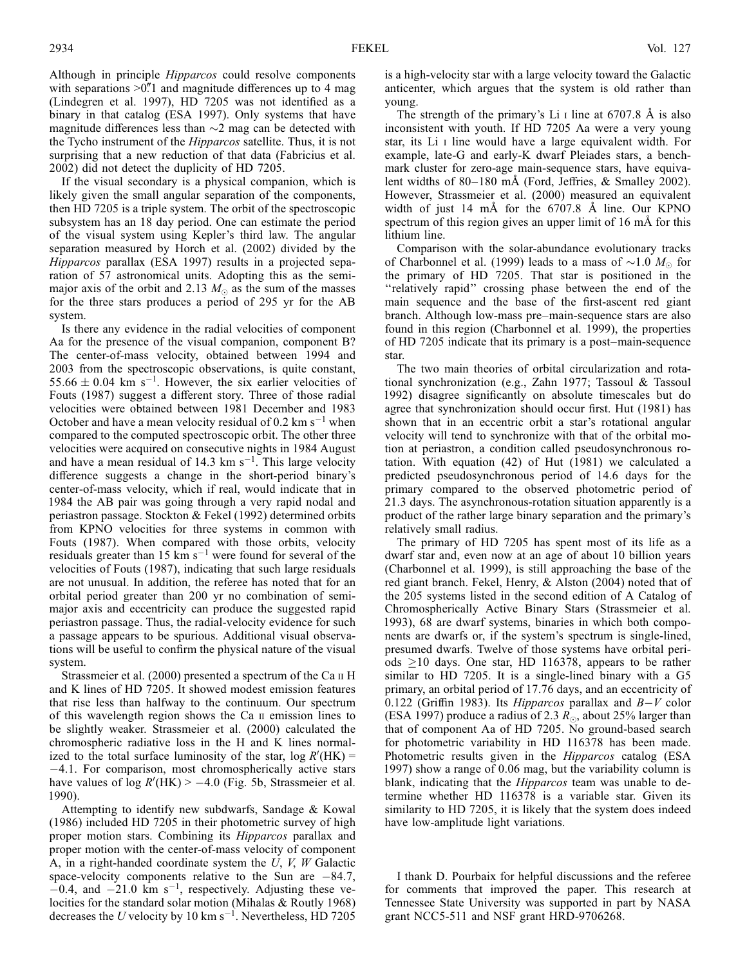Although in principle Hipparcos could resolve components with separations  $>0$ .<sup>n</sup> and magnitude differences up to 4 mag (Lindegren et al. 1997), HD 7205 was not identified as a binary in that catalog (ESA 1997). Only systems that have magnitude differences less than  $\sim$ 2 mag can be detected with the Tycho instrument of the Hipparcos satellite. Thus, it is not surprising that a new reduction of that data (Fabricius et al. 2002) did not detect the duplicity of HD 7205.

If the visual secondary is a physical companion, which is likely given the small angular separation of the components, then HD 7205 is a triple system. The orbit of the spectroscopic subsystem has an 18 day period. One can estimate the period of the visual system using Kepler's third law. The angular separation measured by Horch et al. (2002) divided by the Hipparcos parallax (ESA 1997) results in a projected separation of 57 astronomical units. Adopting this as the semimajor axis of the orbit and 2.13  $M_{\odot}$  as the sum of the masses for the three stars produces a period of 295 yr for the AB system.

Is there any evidence in the radial velocities of component Aa for the presence of the visual companion, component B? The center-of-mass velocity, obtained between 1994 and 2003 from the spectroscopic observations, is quite constant,  $55.66 \pm 0.04$  km s<sup>-1</sup>. However, the six earlier velocities of Fouts (1987) suggest a different story. Three of those radial velocities were obtained between 1981 December and 1983 October and have a mean velocity residual of 0.2 km  $s^{-1}$  when compared to the computed spectroscopic orbit. The other three velocities were acquired on consecutive nights in 1984 August and have a mean residual of 14.3 km  $s^{-1}$ . This large velocity difference suggests a change in the short-period binary's center-of-mass velocity, which if real, would indicate that in 1984 the AB pair was going through a very rapid nodal and periastron passage. Stockton & Fekel (1992) determined orbits from KPNO velocities for three systems in common with Fouts (1987). When compared with those orbits, velocity residuals greater than 15 km  $s^{-1}$  were found for several of the velocities of Fouts (1987), indicating that such large residuals are not unusual. In addition, the referee has noted that for an orbital period greater than 200 yr no combination of semimajor axis and eccentricity can produce the suggested rapid periastron passage. Thus, the radial-velocity evidence for such a passage appears to be spurious. Additional visual observations will be useful to confirm the physical nature of the visual system.

Strassmeier et al. (2000) presented a spectrum of the Ca  $\scriptstyle\rm II$  H and K lines of HD 7205. It showed modest emission features that rise less than halfway to the continuum. Our spectrum of this wavelength region shows the Ca ii emission lines to be slightly weaker. Strassmeier et al. (2000) calculated the chromospheric radiative loss in the H and K lines normalized to the total surface luminosity of the star,  $log R'(HK)$  = 4.1. For comparison, most chromospherically active stars have values of  $log R'(HK) > -4.0$  (Fig. 5b, Strassmeier et al. 1990).

Attempting to identify new subdwarfs, Sandage & Kowal (1986) included HD 7205 in their photometric survey of high proper motion stars. Combining its Hipparcos parallax and proper motion with the center-of-mass velocity of component A, in a right-handed coordinate system the  $U, V, W$  Galactic space-velocity components relative to the Sun are  $-84.7$ ,  $-0.4$ , and  $-21.0$  km s<sup>-1</sup>, respectively. Adjusting these velocities for the standard solar motion (Mihalas & Routly 1968) decreases the U velocity by 10 km s<sup>-1</sup>. Nevertheless, HD 7205

is a high-velocity star with a large velocity toward the Galactic anticenter, which argues that the system is old rather than young.

The strength of the primary's Li  $\scriptstyle\rm I$  line at 6707.8 Å is also inconsistent with youth. If HD 7205 Aa were a very young star, its Li i line would have a large equivalent width. For example, late-G and early-K dwarf Pleiades stars, a benchmark cluster for zero-age main-sequence stars, have equivalent widths of  $80-180$  mÅ (Ford, Jeffries,  $&$  Smalley 2002). However, Strassmeier et al. (2000) measured an equivalent width of just 14  $m\text{\AA}$  for the 6707.8  $\text{\AA}$  line. Our KPNO spectrum of this region gives an upper limit of 16 mÅ for this lithium line.

Comparison with the solar-abundance evolutionary tracks of Charbonnel et al. (1999) leads to a mass of  ${\sim}1.0$   $M_\odot$  for the primary of HD 7205. That star is positioned in the ''relatively rapid'' crossing phase between the end of the main sequence and the base of the first-ascent red giant branch. Although low-mass pre–main-sequence stars are also found in this region (Charbonnel et al. 1999), the properties of HD 7205 indicate that its primary is a post–main-sequence star.

The two main theories of orbital circularization and rotational synchronization (e.g., Zahn 1977; Tassoul & Tassoul 1992) disagree significantly on absolute timescales but do agree that synchronization should occur first. Hut (1981) has shown that in an eccentric orbit a star's rotational angular velocity will tend to synchronize with that of the orbital motion at periastron, a condition called pseudosynchronous rotation. With equation (42) of Hut (1981) we calculated a predicted pseudosynchronous period of 14.6 days for the primary compared to the observed photometric period of 21.3 days. The asynchronous-rotation situation apparently is a product of the rather large binary separation and the primary's relatively small radius.

The primary of HD 7205 has spent most of its life as a dwarf star and, even now at an age of about 10 billion years (Charbonnel et al. 1999), is still approaching the base of the red giant branch. Fekel, Henry, & Alston (2004) noted that of the 205 systems listed in the second edition of A Catalog of Chromospherically Active Binary Stars (Strassmeier et al. 1993), 68 are dwarf systems, binaries in which both components are dwarfs or, if the system's spectrum is single-lined, presumed dwarfs. Twelve of those systems have orbital periods  $\geq$ 10 days. One star, HD 116378, appears to be rather similar to HD 7205. It is a single-lined binary with a G5 primary, an orbital period of 17.76 days, and an eccentricity of 0.122 (Griffin 1983). Its *Hipparcos* parallax and  $B-V$  color (ESA 1997) produce a radius of 2.3  $R_\odot$ , about 25% larger than that of component Aa of HD 7205. No ground-based search for photometric variability in HD 116378 has been made. Photometric results given in the *Hipparcos* catalog (ESA 1997) show a range of 0.06 mag, but the variability column is blank, indicating that the *Hipparcos* team was unable to determine whether HD 116378 is a variable star. Given its similarity to HD 7205, it is likely that the system does indeed have low-amplitude light variations.

I thank D. Pourbaix for helpful discussions and the referee for comments that improved the paper. This research at Tennessee State University was supported in part by NASA grant NCC5-511 and NSF grant HRD-9706268.